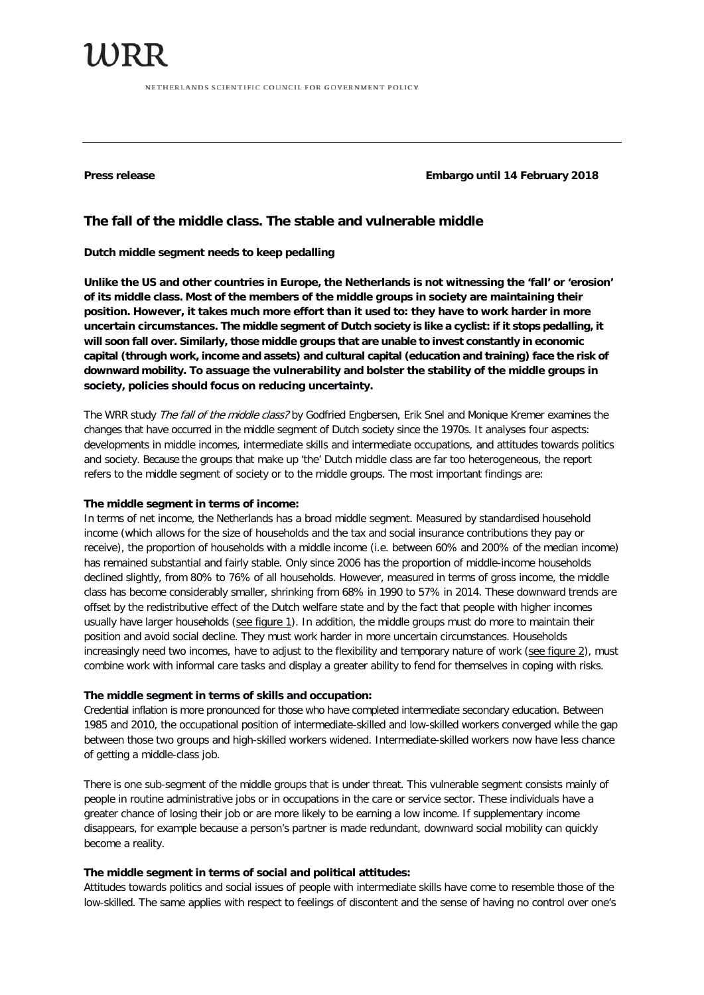11)RR NETHERLANDS SCIENTIFIC COUNCIL FOR GOVERNMENT POLICY

**Press release Embargo until 14 February 2018**

# **The fall of the middle class. The stable and vulnerable middle**

## **Dutch middle segment needs to keep pedalling**

**Unlike the US and other countries in Europe, the Netherlands is not witnessing the 'fall' or 'erosion' of its middle class. Most of the members of the middle groups in society are maintaining their position. However, it takes much more effort than it used to: they have to work harder in more uncertain circumstances. The middle segment of Dutch society is like a cyclist: if it stops pedalling, it will soon fall over. Similarly, those middle groups that are unable to invest constantly in economic capital (through work, income and assets) and cultural capital (education and training) face the risk of downward mobility. To assuage the vulnerability and bolster the stability of the middle groups in society, policies should focus on reducing uncertainty.**

The WRR study The fall of the middle class? by Godfried Engbersen, Erik Snel and Monique Kremer examines the changes that have occurred in the middle segment of Dutch society since the 1970s. It analyses four aspects: developments in middle incomes, intermediate skills and intermediate occupations, and attitudes towards politics and society. Because the groups that make up 'the' Dutch middle class are far too heterogeneous, the report refers to the middle segment of society or to the middle groups. The most important findings are:

### **The middle segment in terms of income:**

In terms of net income, the Netherlands has a broad middle segment. Measured by standardised household income (which allows for the size of households and the tax and social insurance contributions they pay or receive), the proportion of households with a middle income (i.e. between 60% and 200% of the median income) has remained substantial and fairly stable. Only since 2006 has the proportion of middle-income households declined slightly, from 80% to 76% of all households. However, measured in terms of gross income, the middle class has become considerably smaller, shrinking from 68% in 1990 to 57% in 2014. These downward trends are offset by the redistributive effect of the Dutch welfare state and by the fact that people with higher incomes usually have larger households (see figure 1). In addition, the middle groups must do more to maintain their position and avoid social decline. They must work harder in more uncertain circumstances. Households increasingly need two incomes, have to adjust to the flexibility and temporary nature of work (see figure 2), must combine work with informal care tasks and display a greater ability to fend for themselves in coping with risks.

### **The middle segment in terms of skills and occupation:**

Credential inflation is more pronounced for those who have completed intermediate secondary education. Between 1985 and 2010, the occupational position of intermediate-skilled and low-skilled workers converged while the gap between those two groups and high-skilled workers widened. Intermediate-skilled workers now have less chance of getting a middle-class job.

There is one sub-segment of the middle groups that is under threat. This vulnerable segment consists mainly of people in routine administrative jobs or in occupations in the care or service sector. These individuals have a greater chance of losing their job or are more likely to be earning a low income. If supplementary income disappears, for example because a person's partner is made redundant, downward social mobility can quickly become a reality.

### **The middle segment in terms of social and political attitudes:**

Attitudes towards politics and social issues of people with intermediate skills have come to resemble those of the low-skilled. The same applies with respect to feelings of discontent and the sense of having no control over one's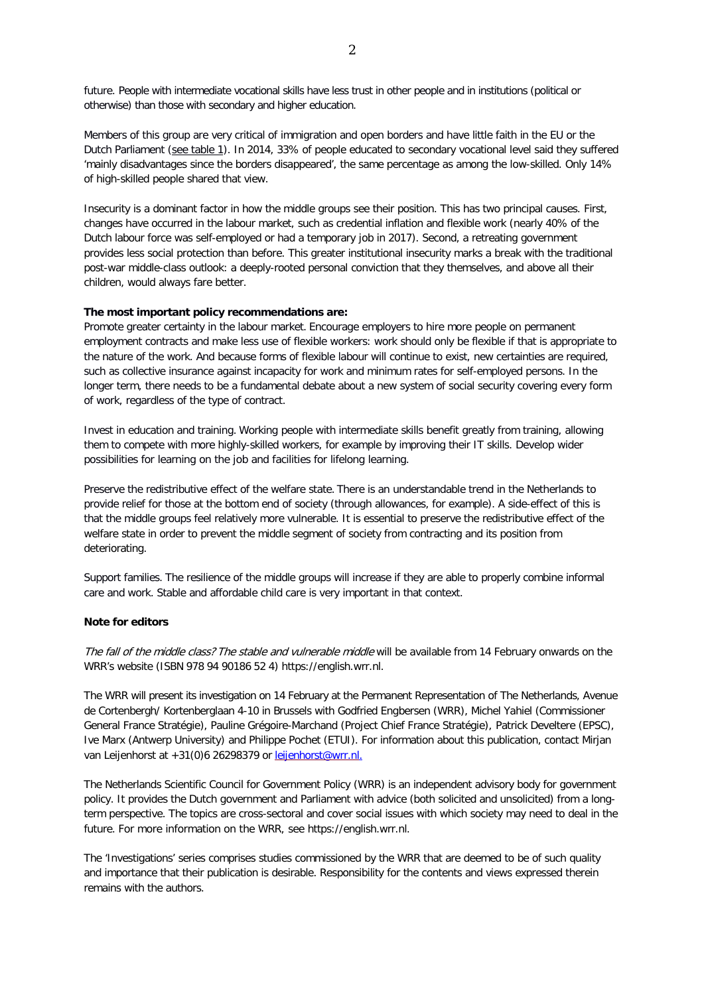future. People with intermediate vocational skills have less trust in other people and in institutions (political or otherwise) than those with secondary and higher education.

Members of this group are very critical of immigration and open borders and have little faith in the EU or the Dutch Parliament (see table 1). In 2014, 33% of people educated to secondary vocational level said they suffered 'mainly disadvantages since the borders disappeared', the same percentage as among the low-skilled. Only 14% of high-skilled people shared that view.

Insecurity is a dominant factor in how the middle groups see their position. This has two principal causes. First, changes have occurred in the labour market, such as credential inflation and flexible work (nearly 40% of the Dutch labour force was self-employed or had a temporary job in 2017). Second, a retreating government provides less social protection than before. This greater institutional insecurity marks a break with the traditional post-war middle-class outlook: a deeply-rooted personal conviction that they themselves, and above all their children, would always fare better.

#### **The most important policy recommendations are:**

Promote greater certainty in the labour market. Encourage employers to hire more people on permanent employment contracts and make less use of flexible workers: work should only be flexible if that is appropriate to the nature of the work. And because forms of flexible labour will continue to exist, new certainties are required, such as collective insurance against incapacity for work and minimum rates for self-employed persons. In the longer term, there needs to be a fundamental debate about a new system of social security covering every form of work, regardless of the type of contract.

Invest in education and training. Working people with intermediate skills benefit greatly from training, allowing them to compete with more highly-skilled workers, for example by improving their IT skills. Develop wider possibilities for learning on the job and facilities for lifelong learning.

Preserve the redistributive effect of the welfare state. There is an understandable trend in the Netherlands to provide relief for those at the bottom end of society (through allowances, for example). A side-effect of this is that the middle groups feel relatively more vulnerable. It is essential to preserve the redistributive effect of the welfare state in order to prevent the middle segment of society from contracting and its position from deteriorating.

Support families. The resilience of the middle groups will increase if they are able to properly combine informal care and work. Stable and affordable child care is very important in that context.

#### **Note for editors**

The fall of the middle class? The stable and vulnerable middle will be available from 14 February onwards on the WRR's website (ISBN 978 94 90186 52 4) https://english.wrr.nl.

The WRR will present its investigation on 14 February at the Permanent Representation of The Netherlands, Avenue de Cortenbergh/ Kortenberglaan 4-10 in Brussels with Godfried Engbersen (WRR), Michel Yahiel (Commissioner General France Stratégie), Pauline Grégoire-Marchand (Project Chief France Stratégie), Patrick Develtere (EPSC), Ive Marx (Antwerp University) and Philippe Pochet (ETUI). For information about this publication, contact Mirjan van Leijenhorst at +31(0)6 26298379 or [leijenhorst@wrr.nl.](mailto:leijenhorst@wrr.nl.)

The Netherlands Scientific Council for Government Policy (WRR) is an independent advisory body for government policy. It provides the Dutch government and Parliament with advice (both solicited and unsolicited) from a longterm perspective. The topics are cross-sectoral and cover social issues with which society may need to deal in the future. For more information on the WRR, see https://english.wrr.nl.

The 'Investigations' series comprises studies commissioned by the WRR that are deemed to be of such quality and importance that their publication is desirable. Responsibility for the contents and views expressed therein remains with the authors.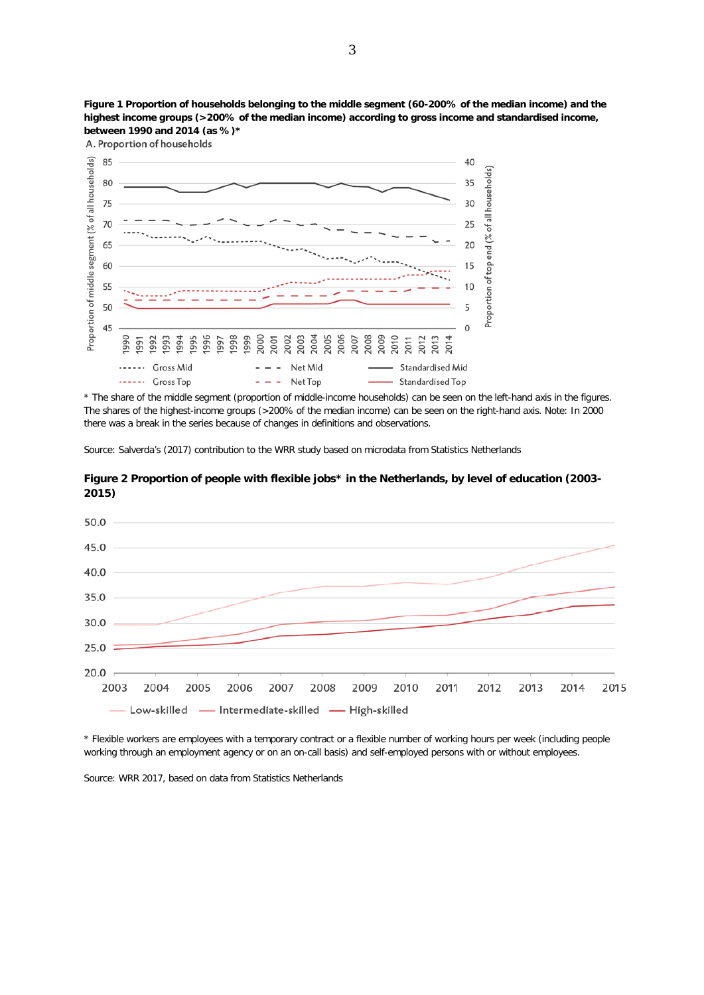

**Figure 1 Proportion of households belonging to the middle segment (60-200% of the median income) and the highest income groups (>200% of the median income) according to gross income and standardised income, between 1990 and 2014 (as %)\***

A. Proportion of households

\* The share of the middle segment (proportion of middle-income households) can be seen on the left-hand axis in the figures. The shares of the highest-income groups (>200% of the median income) can be seen on the right-hand axis. Note: In 2000 there was a break in the series because of changes in definitions and observations.

Source: Salverda's (2017) contribution to the WRR study based on microdata from Statistics Netherlands



**Figure 2 Proportion of people with flexible jobs\* in the Netherlands, by level of education (2003- 2015)**

\* Flexible workers are employees with a temporary contract or a flexible number of working hours per week (including people working through an employment agency or on an on-call basis) and self-employed persons with or without employees.

Source: WRR 2017, based on data from Statistics Netherlands